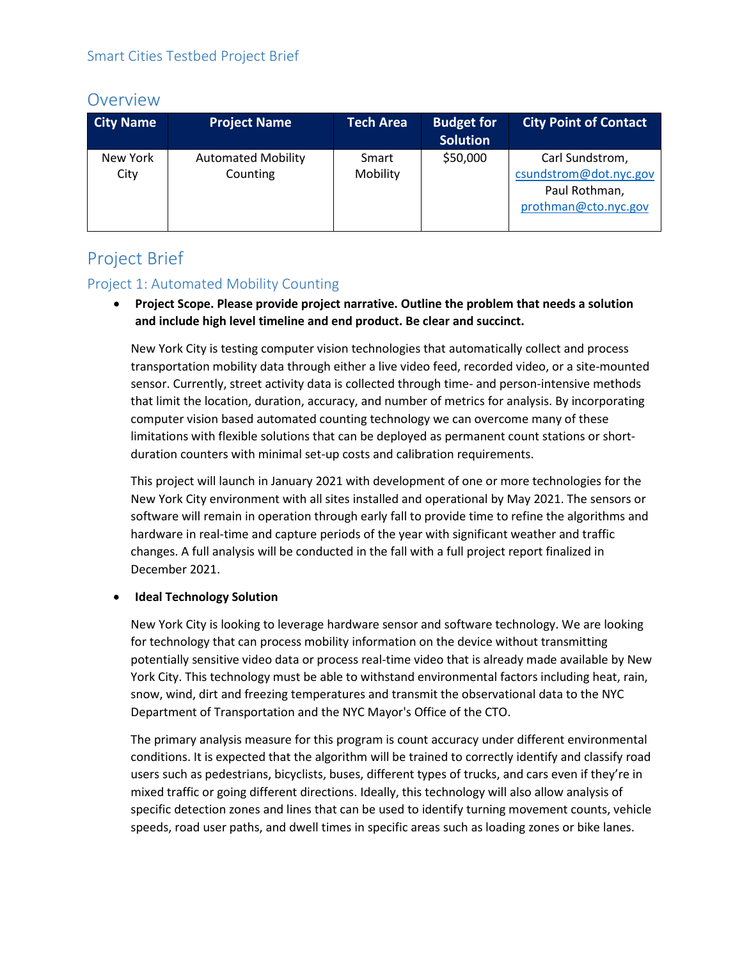# Overview

| <b>City Name</b> | <b>Project Name</b>                   | <b>Tech Area</b>  | <b>Budget for</b><br><b>Solution</b> | <b>City Point of Contact</b>                                                       |
|------------------|---------------------------------------|-------------------|--------------------------------------|------------------------------------------------------------------------------------|
| New York<br>City | <b>Automated Mobility</b><br>Counting | Smart<br>Mobility | \$50,000                             | Carl Sundstrom,<br>csundstrom@dot.nyc.gov<br>Paul Rothman,<br>prothman@cto.nyc.gov |

# Project Brief

## Project 1: Automated Mobility Counting

• **Project Scope. Please provide project narrative. Outline the problem that needs a solution and include high level timeline and end product. Be clear and succinct.**

New York City is testing computer vision technologies that automatically collect and process transportation mobility data through either a live video feed, recorded video, or a site-mounted sensor. Currently, street activity data is collected through time- and person-intensive methods that limit the location, duration, accuracy, and number of metrics for analysis. By incorporating computer vision based automated counting technology we can overcome many of these limitations with flexible solutions that can be deployed as permanent count stations or shortduration counters with minimal set-up costs and calibration requirements.

This project will launch in January 2021 with development of one or more technologies for the New York City environment with all sites installed and operational by May 2021. The sensors or software will remain in operation through early fall to provide time to refine the algorithms and hardware in real-time and capture periods of the year with significant weather and traffic changes. A full analysis will be conducted in the fall with a full project report finalized in December 2021.

## • **Ideal Technology Solution**

New York City is looking to leverage hardware sensor and software technology. We are looking for technology that can process mobility information on the device without transmitting potentially sensitive video data or process real-time video that is already made available by New York City. This technology must be able to withstand environmental factors including heat, rain, snow, wind, dirt and freezing temperatures and transmit the observational data to the NYC Department of Transportation and the NYC Mayor's Office of the CTO.

The primary analysis measure for this program is count accuracy under different environmental conditions. It is expected that the algorithm will be trained to correctly identify and classify road users such as pedestrians, bicyclists, buses, different types of trucks, and cars even if they're in mixed traffic or going different directions. Ideally, this technology will also allow analysis of specific detection zones and lines that can be used to identify turning movement counts, vehicle speeds, road user paths, and dwell times in specific areas such as loading zones or bike lanes.